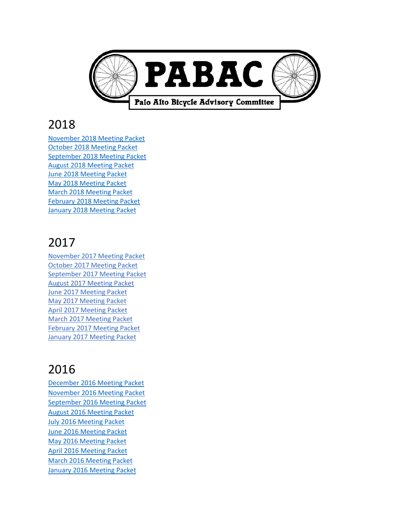

## 2018

[November 2018](https://www.cityofpaloalto.org/civicax/filebank/documents/67536) Meeting Packet October 2018 [Meeting Packet](https://www.cityofpaloalto.org/civicax/filebank/documents/66898) [September 2018](https://www.cityofpaloalto.org/civicax/filebank/documents/66618) Meeting Packet August 2018 [Meeting Packet](https://www.cityofpaloalto.org/civicax/filebank/documents/66166) June 2018 [Meeting Packet](https://www.cityofpaloalto.org/civicax/filebank/documents/65338) May 2018 [Meeting Packet](https://www.cityofpaloalto.org/civicax/filebank/documents/64829) March 2018 [Meeting Packet](https://www.cityofpaloalto.org/civicax/filebank/documents/63758) February 2018 [Meeting Packet](https://www.cityofpaloalto.org/civicax/filebank/documents/63206) January 2018 [Meeting Packet](https://www.cityofpaloalto.org/civicax/filebank/documents/62753)

# 2017

[November 2017 Meeting Packet](http://www.cityofpaloalto.org/civicax/filebank/documents/62027) [October 2017 Meeting Packet](http://www.cityofpaloalto.org/civicax/filebank/documents/61314) [September 2017 Meeting Packet](http://www.cityofpaloalto.org/civicax/filebank/documents/62274) [August 2017 Meeting Packet](http://www.cityofpaloalto.org/civicax/filebank/documents/62275) [June 2017 Meeting Packet](http://www.cityofpaloalto.org/civicax/filebank/documents/62276) [May 2017 Meeting Packet](http://www.cityofpaloalto.org/civicax/filebank/documents/62277) [April 2017 Meeting Packet](https://cityofpaloalto.org/civicax/filebank/documents/56752) [March 2017 Meeting Packet](https://cityofpaloalto.org/civicax/filebank/documents/56193) [February 2017 Meeting Packet](https://cityofpaloalto.org/civicax/filebank/documents/55767) [January 2017 Meeting Packet](http://www.cityofpaloalto.org/civicax/filebank/documents/55366)

# 2016

[December 2016 Meeting Packet](https://cityofpaloalto.org/civicax/filebank/documents/54993) [November 2016 Meeting Packet](https://cityofpaloalto.org/civicax/filebank/documents/54532) [September 2016 Meeting Packet](https://www.cityofpaloalto.org/civicax/filebank/documents/53684) [August 2016 Meeting Packet](https://cityofpaloalto.org/civicax/filebank/documents/53266) [July 2016 Meeting Packet](https://cityofpaloalto.org/civicax/filebank/documents/53036) [June 2016 Meeting Packet](https://cityofpaloalto.org/civicax/filebank/documents/52721) [May 2016 Meeting Packet](https://cityofpaloalto.org/civicax/filebank/documents/52150) [April 2016 Meeting Packet](https://cityofpaloalto.org/civicax/filebank/documents/51877) [March 2016 Meeting Packet](https://cityofpaloalto.org/civicax/filebank/documents/45752) [January 2016 Meeting Packet](https://cityofpaloalto.org/civicax/filebank/documents/50453)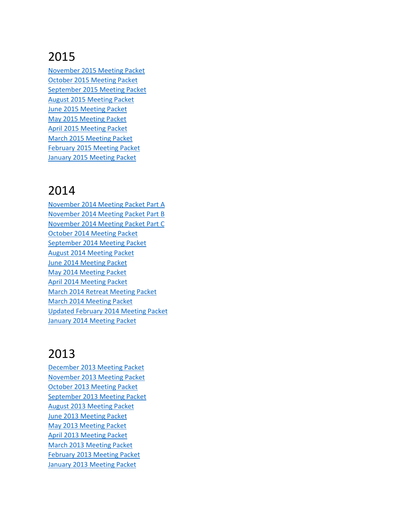### 2015

[November 2015 Meeting Packet](https://cityofpaloalto.org/civicax/filebank/documents/49692) [October 2015 Meeting Packet](https://cityofpaloalto.org/civicax/filebank/documents/49318) [September 2015 Meeting Packet](https://www.cityofpaloalto.org/civicax/filebank/documents/48774) [August 2015 Meeting Packet](https://www.cityofpaloalto.org/civicax/filebank/documents/48362) [June 2015 Meeting Packet](https://www.cityofpaloalto.org/civicax/filebank/documents/47606) [May 2015 Meeting Packet](https://www.cityofpaloalto.org/civicax/filebank/documents/47178) [April 2015 Meeting Packet](https://www.cityofpaloalto.org/civicax/filebank/documents/46715) [March 2015 Meeting Packet](https://www.cityofpaloalto.org/civicax/filebank/documents/46163) [February 2015 Meeting Packet](https://www.cityofpaloalto.org/civicax/filebank/documents/45752) [January 2015 Meeting Packet](https://www.cityofpaloalto.org/civicax/filebank/documents/45280)

#### 2014

[November 2014 Meeting Packet Part A](https://www.cityofpaloalto.org/civicax/filebank/documents/44559) [November 2014 Meeting Packet Part B](https://www.cityofpaloalto.org/civicax/filebank/documents/44559) [November 2014 Meeting Packet Part C](https://www.cityofpaloalto.org/civicax/filebank/documents/44577) [October 2014 Meeting Packet](https://www.cityofpaloalto.org/civicax/filebank/documents/44128) [September 2014 Meeting Packet](https://www.cityofpaloalto.org/civicax/filebank/documents/43642) [August 2014 Meeting Packet](https://www.cityofpaloalto.org/civicax/filebank/documents/43261) [June 2014 Meeting Packet](https://www.cityofpaloalto.org/civicax/filebank/documents/42500) [May 2014 Meeting Packet](https://www.cityofpaloalto.org/civicax/filebank/documents/40233) [April 2014 Meeting Packet](https://www.cityofpaloalto.org/civicax/filebank/documents/39658) [March 2014 Retreat Meeting Packet](https://www.cityofpaloalto.org/civicax/filebank/documents/39503) [March 2014 Meeting Packet](https://www.cityofpaloalto.org/civicax/filebank/documents/39278) [Updated February 2014 Meeting Packet](https://www.cityofpaloalto.org/civicax/filebank/documents/38817) [January 2014 Meeting Packet](https://www.cityofpaloalto.org/civicax/filebank/documents/38327)

#### 2013

[December 2013 Meeting Packet](https://www.cityofpaloalto.org/civicax/filebank/documents/37974) [November 2013 Meeting Packet](https://www.cityofpaloalto.org/civicax/filebank/documents/37591) [October 2013 Meeting Packet](https://www.cityofpaloalto.org/civicax/filebank/documents/36049) [September 2013 Meeting Packet](https://www.cityofpaloalto.org/civicax/filebank/documents/37592) [August 2013 Meeting Packet](https://www.cityofpaloalto.org/civicax/filebank/documents/35405) [June 2013 Meeting Packet](https://www.cityofpaloalto.org/civicax/filebank/documents/34621) [May 2013 Meeting Packet](https://www.cityofpaloalto.org/civicax/filebank/documents/34193) [April 2013 Meeting Packet](https://www.cityofpaloalto.org/civicax/filebank/documents/33749) [March 2013 Meeting Packet](https://www.cityofpaloalto.org/civicax/filebank/documents/33282) [February 2013 Meeting Packet](https://www.cityofpaloalto.org/civicax/filebank/documents/32945) [January 2013 Meeting Packet](https://www.cityofpaloalto.org/civicax/filebank/documents/32482)